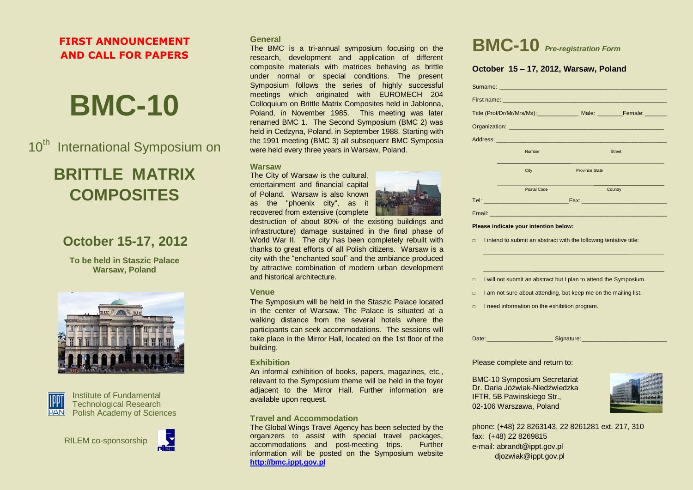# **FIRST ANNOUNCEMENT AND CALL FOR PAPERS**

# **BMC-10**

10<sup>th</sup> International Symposium on

# **BRITTLE MATRIX COMPOSITES**

# **October 15-17, 2012**

**To be held in Staszic Palace Warsaw, Poland**





Institute of Fundamental Technological Research Polish Academy of Sciences





# **General**

The BMC is a tri-annual symposium focusing on the research, development and application of different composite materials with matrices behaving as brittle under normal or special conditions. The present Symposium follows the series of highly successful meetings which originated with EUROMECH 204 Colloquium on Brittle Matrix Composites held in Jablonna, Poland, in November 1985. This meeting was later renamed BMC 1. The Second Symposium (BMC 2) was held in Cedzyna, Poland, in September 1988. Starting with the 1991 meeting (BMC 3) all subsequent BMC Symposia were held every three years in Warsaw, Poland.

## **Warsaw**

The City of Warsaw is the cultural, entertainment and financial capital of Poland. Warsaw is also known as the "phoenix city", as it recovered from extensive (complete

destruction of about 80% of the existing buildings and infrastructure) damage sustained in the final phase of World War II. The city has been completely rebuilt with thanks to great efforts of all Polish citizens. Warsaw is a city with the "enchanted soul" and the ambiance produced by attractive combination of modern urban development and historical architecture.

# **Venue**

The Symposium will be held in the Staszic Palace located in the center of Warsaw. The Palace is situated at a walking distance from the several hotels where the participants can seek accommodations. The sessions will take place in the Mirror Hall, located on the 1st floor of the building.

# **Exhibition**

An informal exhibition of books, papers, magazines, etc., relevant to the Symposium theme will be held in the foyer adjacent to the Mirror Hall. Further information are available upon request.

# **Travel and Accommodation**

The Global Wings Travel Agency has been selected by the organizers to assist with special travel packages, accommodations and post-meeting trips. Further information will be posted on the Symposium website **[http://bmc.ippt.gov.pl](http://bmc.ippt.gov.pl/)**

|  | <b>BMC-10</b> Pre-registration Form |
|--|-------------------------------------|
|--|-------------------------------------|

# **October 15 – 17, 2012, Warsaw, Poland**

|  |                                                                                                                                                             | Title (Prof/Dr/Mr/Mrs/Ms): _______________ Male: _______________________________ |  |  |  |
|--|-------------------------------------------------------------------------------------------------------------------------------------------------------------|----------------------------------------------------------------------------------|--|--|--|
|  |                                                                                                                                                             |                                                                                  |  |  |  |
|  |                                                                                                                                                             |                                                                                  |  |  |  |
|  | Number                                                                                                                                                      | <b>Street</b>                                                                    |  |  |  |
|  | City                                                                                                                                                        | <b>Province State</b>                                                            |  |  |  |
|  | <b>Postal Code</b>                                                                                                                                          | Country                                                                          |  |  |  |
|  | <u>Tel: __________________________________</u><br>Fax: Fax: Production of the Contract of Tennis and Tennis and Tennis and Tennis and Tennis and Tennis and |                                                                                  |  |  |  |
|  |                                                                                                                                                             |                                                                                  |  |  |  |

#### **Please indicate your intention below:**

| I intend to submit an abstract with the following tentative title: |  |  |  |
|--------------------------------------------------------------------|--|--|--|
|                                                                    |  |  |  |

#### □ I will not submit an abstract but I plan to attend the Symposium.

- □ I am not sure about attending, but keep me on the mailing list.
- □ I need information on the exhibition program.

Date: \_\_\_\_\_\_\_\_\_\_\_\_\_\_\_\_\_\_\_\_\_ Signature:\_\_\_\_\_\_\_\_\_\_\_\_\_\_\_\_\_\_\_\_\_\_\_\_\_\_\_

### Please complete and return to:

BMC-10 Symposium Secretariat Dr. Daria Jóźwiak-Niedźwiedzka IFTR, 5B Pawinskiego Str., 02-106 Warszawa, Poland



phone: (+48) 22 8263143, 22 8261281 ext. 217, 310 fax: (+48) 22 8269815 e-mail: abrandt@ippt.gov.pl djozwiak@ippt.gov.pl